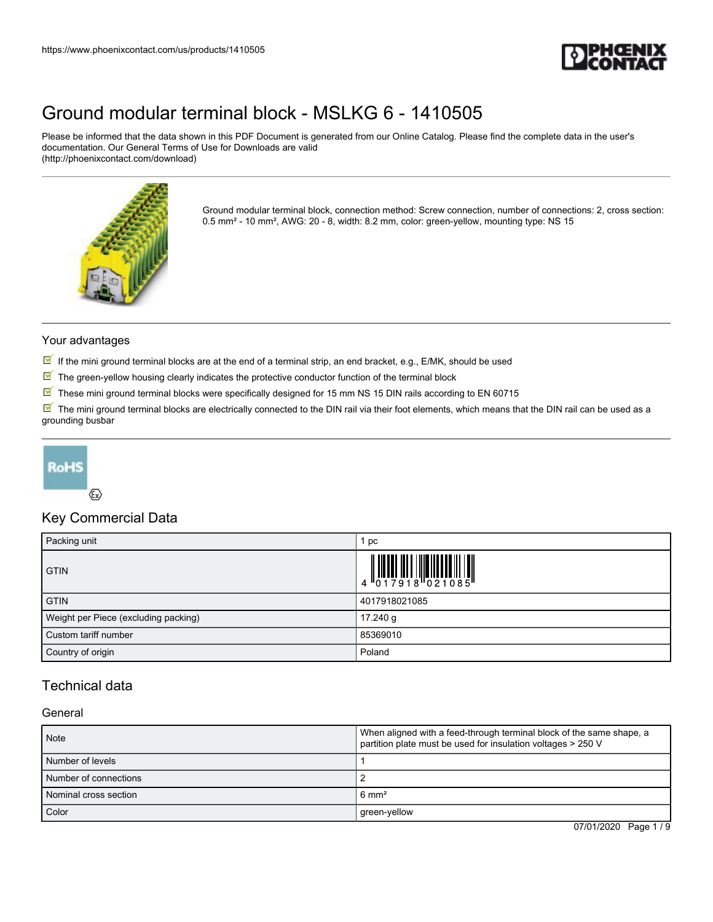

Please be informed that the data shown in this PDF Document is generated from our Online Catalog. Please find the complete data in the user's documentation. Our General Terms of Use for Downloads are valid (http://phoenixcontact.com/download)



Ground modular terminal block, connection method: Screw connection, number of connections: 2, cross section: 0.5 mm² - 10 mm², AWG: 20 - 8, width: 8.2 mm, color: green-yellow, mounting type: NS 15

### Your advantages

- If the mini ground terminal blocks are at the end of a terminal strip, an end bracket, e.g., E/MK, should be used
- $\mathbb N$  The green-yellow housing clearly indicates the protective conductor function of the terminal block
- $\overline{\mathbb{M}}$  These mini ground terminal blocks were specifically designed for 15 mm NS 15 DIN rails according to EN 60715

 $\mathbb F$  The mini ground terminal blocks are electrically connected to the DIN rail via their foot elements, which means that the DIN rail can be used as a grounding busbar



### $\langle \epsilon \rangle$

### Key Commercial Data

| Packing unit                         | pc                                                                                                                                                                                                                                                                                                                             |
|--------------------------------------|--------------------------------------------------------------------------------------------------------------------------------------------------------------------------------------------------------------------------------------------------------------------------------------------------------------------------------|
| <b>GTIN</b>                          | $\begin{array}{c} 1 & 0 & 0 & 0 \\ 0 & 1 & 0 & 1 \\ 0 & 1 & 0 & 0 \\ 0 & 0 & 0 & 0 \\ 0 & 0 & 0 & 0 \\ 0 & 0 & 0 & 0 \\ 0 & 0 & 0 & 0 \\ 0 & 0 & 0 & 0 \\ 0 & 0 & 0 & 0 \\ 0 & 0 & 0 & 0 \\ 0 & 0 & 0 & 0 \\ 0 & 0 & 0 & 0 & 0 \\ 0 & 0 & 0 & 0 & 0 \\ 0 & 0 & 0 & 0 & 0 \\ 0 & 0 & 0 & 0 & 0 & 0 \\ 0 & 0 & 0 & 0 & 0 & 0 \\$ |
| <b>GTIN</b>                          | 4017918021085                                                                                                                                                                                                                                                                                                                  |
| Weight per Piece (excluding packing) | 17.240 g                                                                                                                                                                                                                                                                                                                       |
| Custom tariff number                 | 85369010                                                                                                                                                                                                                                                                                                                       |
| Country of origin                    | Poland                                                                                                                                                                                                                                                                                                                         |

### Technical data

### General

| <b>Note</b>           | When aligned with a feed-through terminal block of the same shape, a<br>partition plate must be used for insulation voltages > 250 V |
|-----------------------|--------------------------------------------------------------------------------------------------------------------------------------|
| l Number of levels    |                                                                                                                                      |
| Number of connections |                                                                                                                                      |
| Nominal cross section | $6 \text{ mm}^2$                                                                                                                     |
| Color                 | green-yellow                                                                                                                         |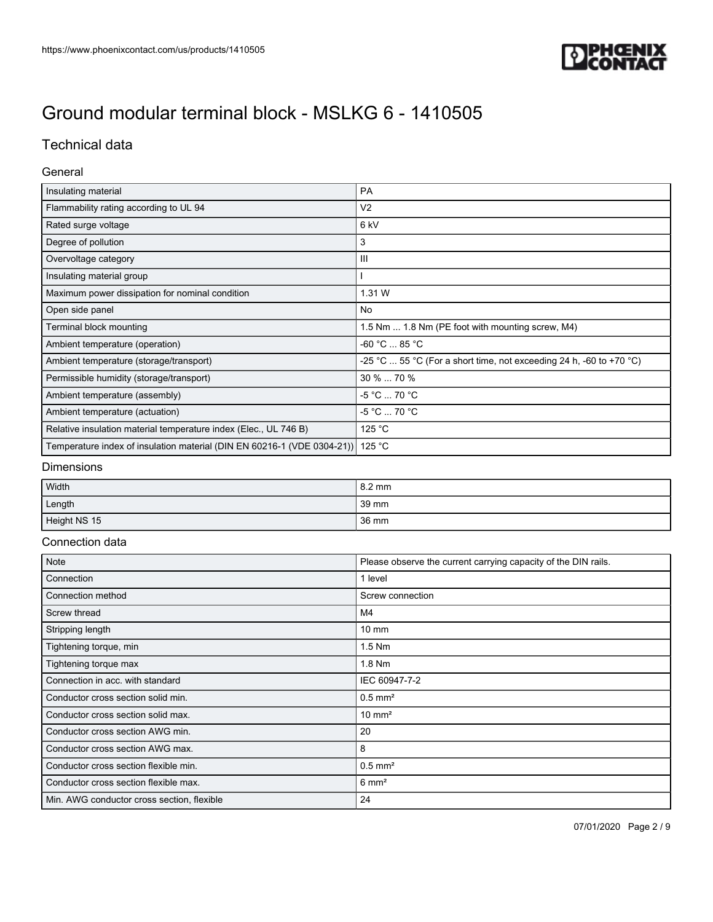

## Technical data

### General

| Insulating material                                                     | <b>PA</b>                                                           |
|-------------------------------------------------------------------------|---------------------------------------------------------------------|
| Flammability rating according to UL 94                                  | V <sub>2</sub>                                                      |
| Rated surge voltage                                                     | 6 kV                                                                |
| Degree of pollution                                                     | 3                                                                   |
| Overvoltage category                                                    | $\mathbf{III}$                                                      |
| Insulating material group                                               |                                                                     |
| Maximum power dissipation for nominal condition                         | 1.31 W                                                              |
| Open side panel                                                         | <b>No</b>                                                           |
| Terminal block mounting                                                 | 1.5 Nm  1.8 Nm (PE foot with mounting screw, M4)                    |
| Ambient temperature (operation)                                         | -60 °C  85 °C                                                       |
| Ambient temperature (storage/transport)                                 | -25 °C  55 °C (For a short time, not exceeding 24 h, -60 to +70 °C) |
| Permissible humidity (storage/transport)                                | 30 %  70 %                                                          |
| Ambient temperature (assembly)                                          | $-5 °C$ 70 °C                                                       |
| Ambient temperature (actuation)                                         | -5 °C  70 °C                                                        |
| Relative insulation material temperature index (Elec., UL 746 B)        | 125 °C                                                              |
| Temperature index of insulation material (DIN EN 60216-1 (VDE 0304-21)) | 125 °C                                                              |

### Dimensions

| Width        | 8.2 mm |
|--------------|--------|
| Length       | 39 mm  |
| Height NS 15 | 36 mm  |

### Connection data

| Note                                       | Please observe the current carrying capacity of the DIN rails. |
|--------------------------------------------|----------------------------------------------------------------|
| Connection                                 | 1 level                                                        |
| Connection method                          | Screw connection                                               |
| Screw thread                               | M4                                                             |
| Stripping length                           | $10 \text{ mm}$                                                |
| Tightening torque, min                     | $1.5$ Nm                                                       |
| Tightening torque max                      | 1.8 Nm                                                         |
| Connection in acc. with standard           | IEC 60947-7-2                                                  |
| Conductor cross section solid min.         | $0.5$ mm <sup>2</sup>                                          |
| Conductor cross section solid max.         | $10 \text{ mm}^2$                                              |
| Conductor cross section AWG min.           | 20                                                             |
| Conductor cross section AWG max.           | 8                                                              |
| Conductor cross section flexible min.      | $0.5$ mm <sup>2</sup>                                          |
| Conductor cross section flexible max.      | $6 \text{ mm}^2$                                               |
| Min. AWG conductor cross section, flexible | 24                                                             |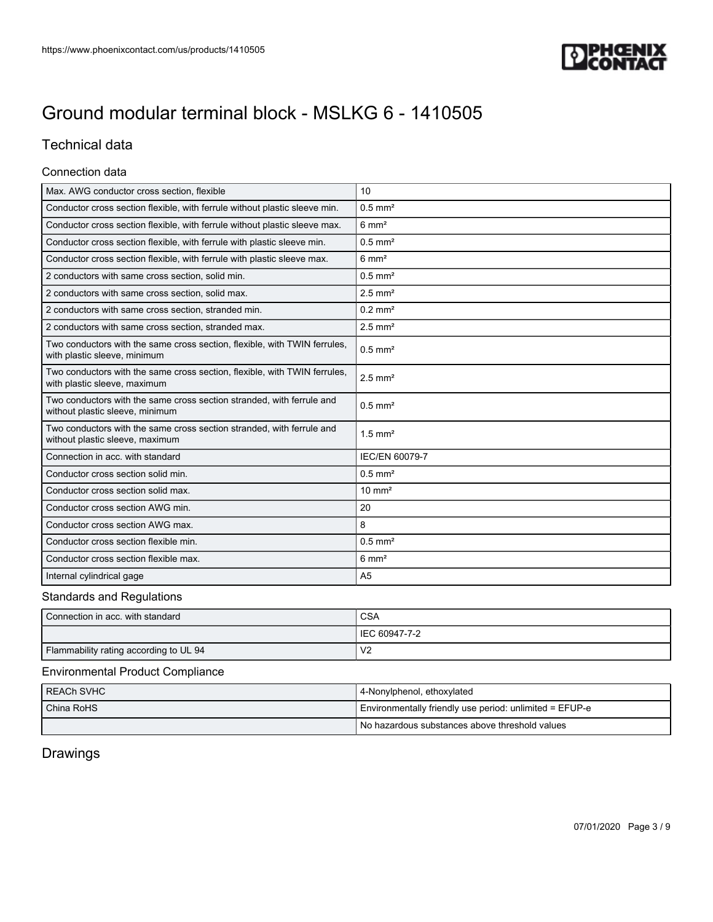

## Technical data

### Connection data

| Max. AWG conductor cross section, flexible                                                                | 10                    |
|-----------------------------------------------------------------------------------------------------------|-----------------------|
| Conductor cross section flexible, with ferrule without plastic sleeve min.                                | $0.5$ mm <sup>2</sup> |
| Conductor cross section flexible, with ferrule without plastic sleeve max.                                | $6 \text{ mm}^2$      |
| Conductor cross section flexible, with ferrule with plastic sleeve min.                                   | $0.5$ mm <sup>2</sup> |
| Conductor cross section flexible, with ferrule with plastic sleeve max.                                   | $6 \text{ mm}^2$      |
| 2 conductors with same cross section, solid min.                                                          | $0.5$ mm <sup>2</sup> |
| 2 conductors with same cross section, solid max.                                                          | $2.5$ mm <sup>2</sup> |
| 2 conductors with same cross section, stranded min.                                                       | $0.2$ mm <sup>2</sup> |
| 2 conductors with same cross section, stranded max.                                                       | $2.5$ mm <sup>2</sup> |
| Two conductors with the same cross section, flexible, with TWIN ferrules,<br>with plastic sleeve, minimum | $0.5$ mm <sup>2</sup> |
| Two conductors with the same cross section, flexible, with TWIN ferrules,<br>with plastic sleeve, maximum | $2.5$ mm <sup>2</sup> |
| Two conductors with the same cross section stranded, with ferrule and<br>without plastic sleeve, minimum  | $0.5$ mm <sup>2</sup> |
| Two conductors with the same cross section stranded, with ferrule and<br>without plastic sleeve, maximum  | $1.5$ mm <sup>2</sup> |
| Connection in acc. with standard                                                                          | <b>IEC/EN 60079-7</b> |
| Conductor cross section solid min.                                                                        | $0.5$ mm <sup>2</sup> |
| Conductor cross section solid max.                                                                        | $10 \text{ mm}^2$     |
| Conductor cross section AWG min.                                                                          | 20                    |
| Conductor cross section AWG max.                                                                          | 8                     |
| Conductor cross section flexible min.                                                                     | $0.5$ mm <sup>2</sup> |
| Conductor cross section flexible max.                                                                     | $6 \text{ mm}^2$      |
| Internal cylindrical gage                                                                                 | A <sub>5</sub>        |

### Standards and Regulations

| Connection in acc. with standard       | CSA            |
|----------------------------------------|----------------|
|                                        | IEC 60947-7-2  |
| Flammability rating according to UL 94 | V <sub>2</sub> |

### Environmental Product Compliance

| I REACh SVHC | 4-Nonylphenol, ethoxylated                              |
|--------------|---------------------------------------------------------|
| China RoHS   | Environmentally friendly use period: unlimited = EFUP-e |
|              | l No hazardous substances above threshold values        |

## Drawings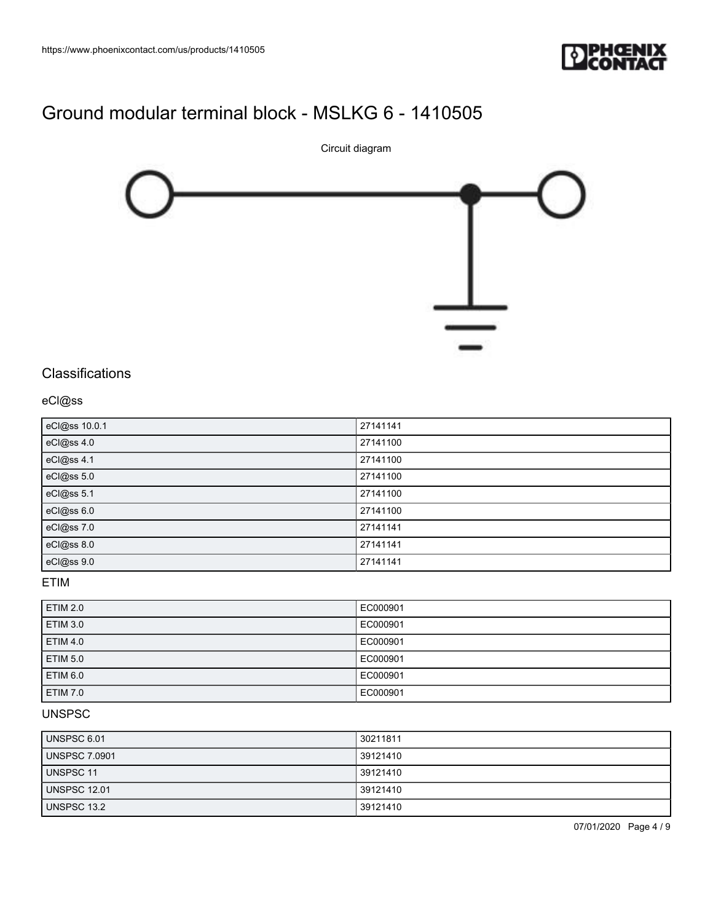



## **Classifications**

### eCl@ss

| eCl@ss 10.0.1 | 27141141 |
|---------------|----------|
| eCl@ss 4.0    | 27141100 |
| eCl@ss 4.1    | 27141100 |
| eCl@ss 5.0    | 27141100 |
| eCl@ss 5.1    | 27141100 |
| eCl@ss 6.0    | 27141100 |
| eCl@ss 7.0    | 27141141 |
| eCl@ss 8.0    | 27141141 |
| eCl@ss 9.0    | 27141141 |

### ETIM

| <b>ETIM 2.0</b> | EC000901 |
|-----------------|----------|
| ETIM 3.0        | EC000901 |
| <b>ETIM 4.0</b> | EC000901 |
| <b>ETIM 5.0</b> | EC000901 |
| ETIM 6.0        | EC000901 |
| <b>ETIM 7.0</b> | EC000901 |

## UNSPSC

| UNSPSC 6.01         | 30211811 |
|---------------------|----------|
| UNSPSC 7.0901       | 39121410 |
| UNSPSC 11           | 39121410 |
| <b>UNSPSC 12.01</b> | 39121410 |
| UNSPSC 13.2         | 39121410 |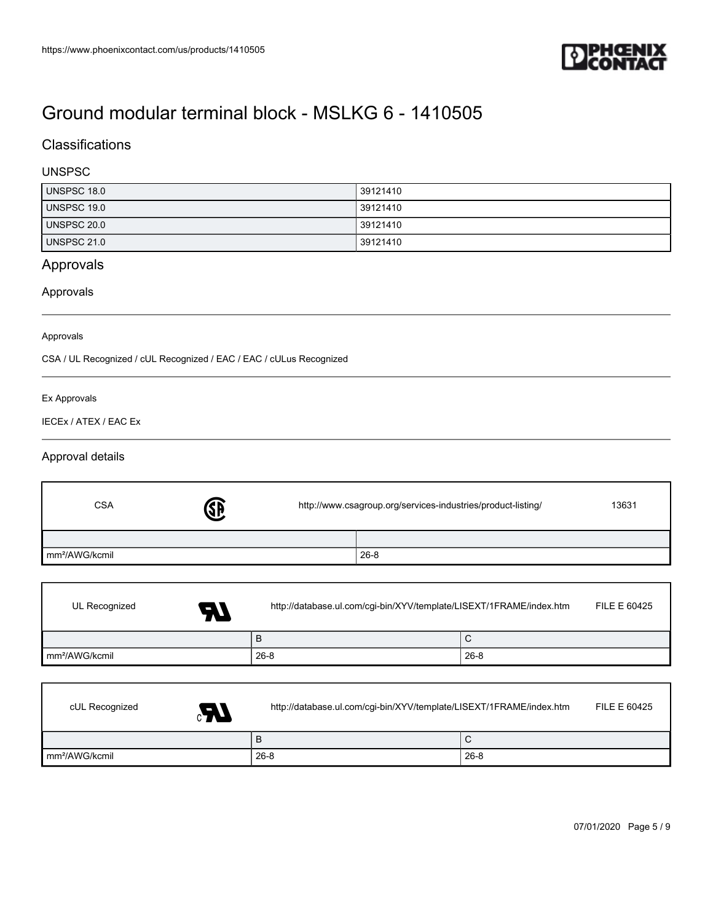

## **Classifications**

### UNSPSC

| UNSPSC 18.0        | 39121410 |
|--------------------|----------|
| UNSPSC 19.0        | 39121410 |
| UNSPSC 20.0        | 39121410 |
| <b>UNSPSC 21.0</b> | 39121410 |

## Approvals

### Approvals

#### Approvals

CSA / UL Recognized / cUL Recognized / EAC / EAC / cULus Recognized

### Ex Approvals

Г

 $\mathsf{l}$ 

IECEx / ATEX / EAC Ex

### Approval details

| <b>CSA</b>                 | Ø. | http://www.csagroup.org/services-industries/product-listing/ |          | 13631 |
|----------------------------|----|--------------------------------------------------------------|----------|-------|
|                            |    |                                                              |          |       |
| mm <sup>2</sup> /AWG/kcmil |    |                                                              | $26 - 8$ |       |

| UL Recognized<br>A7        | http://database.ul.com/cgi-bin/XYV/template/LISEXT/1FRAME/index.htm | FILE E 60425 |
|----------------------------|---------------------------------------------------------------------|--------------|
|                            | B                                                                   | ∣∪           |
| mm <sup>2</sup> /AWG/kcmil | $26 - 8$                                                            | $126-8$      |

| cUL Recognized<br>$\mathbf{A}$ | http://database.ul.com/cgi-bin/XYV/template/LISEXT/1FRAME/index.htm | FILE E 60425 |
|--------------------------------|---------------------------------------------------------------------|--------------|
|                                | B                                                                   | ◡            |
| Im <sup>2</sup> /AWG/kcmil     | $26 - 8$                                                            | $26-8$       |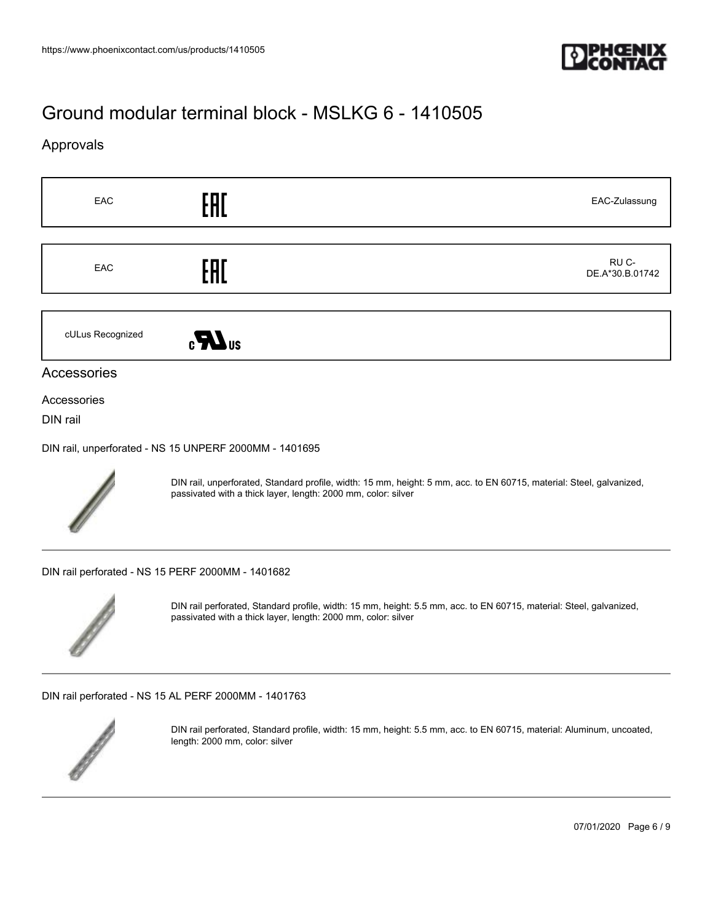

### Approvals





DIN rail, unperforated, Standard profile, width: 15 mm, height: 5 mm, acc. to EN 60715, material: Steel, galvanized, passivated with a thick layer, length: 2000 mm, color: silver

[DIN rail perforated - NS 15 PERF 2000MM - 1401682](https://www.phoenixcontact.com/us/products/1401682)



DIN rail perforated, Standard profile, width: 15 mm, height: 5.5 mm, acc. to EN 60715, material: Steel, galvanized, passivated with a thick layer, length: 2000 mm, color: silver

[DIN rail perforated - NS 15 AL PERF 2000MM - 1401763](https://www.phoenixcontact.com/us/products/1401763)



DIN rail perforated, Standard profile, width: 15 mm, height: 5.5 mm, acc. to EN 60715, material: Aluminum, uncoated, length: 2000 mm, color: silver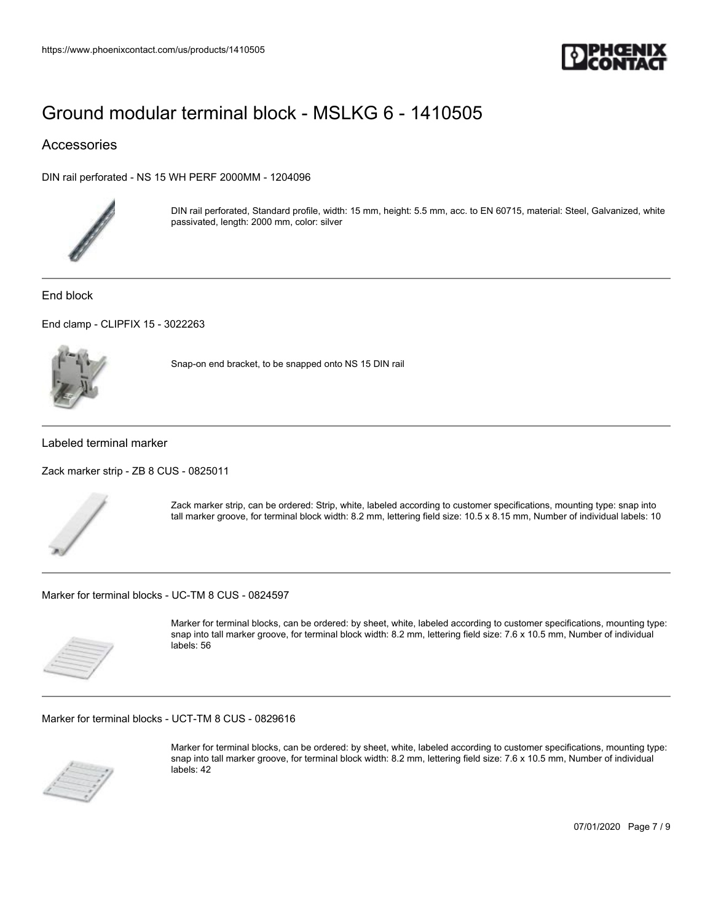

### Accessories

[DIN rail perforated - NS 15 WH PERF 2000MM - 1204096](https://www.phoenixcontact.com/us/products/1204096)



DIN rail perforated, Standard profile, width: 15 mm, height: 5.5 mm, acc. to EN 60715, material: Steel, Galvanized, white passivated, length: 2000 mm, color: silver

End block

[End clamp - CLIPFIX 15 - 3022263](https://www.phoenixcontact.com/us/products/3022263)



Snap-on end bracket, to be snapped onto NS 15 DIN rail

Labeled terminal marker

[Zack marker strip - ZB 8 CUS - 0825011](https://www.phoenixcontact.com/us/products/0825011)



Zack marker strip, can be ordered: Strip, white, labeled according to customer specifications, mounting type: snap into tall marker groove, for terminal block width: 8.2 mm, lettering field size: 10.5 x 8.15 mm, Number of individual labels: 10

[Marker for terminal blocks - UC-TM 8 CUS - 0824597](https://www.phoenixcontact.com/us/products/0824597)



Marker for terminal blocks, can be ordered: by sheet, white, labeled according to customer specifications, mounting type: snap into tall marker groove, for terminal block width: 8.2 mm, lettering field size: 7.6 x 10.5 mm, Number of individual labels: 56

[Marker for terminal blocks - UCT-TM 8 CUS - 0829616](https://www.phoenixcontact.com/us/products/0829616)



Marker for terminal blocks, can be ordered: by sheet, white, labeled according to customer specifications, mounting type: snap into tall marker groove, for terminal block width: 8.2 mm, lettering field size: 7.6 x 10.5 mm, Number of individual labels: 42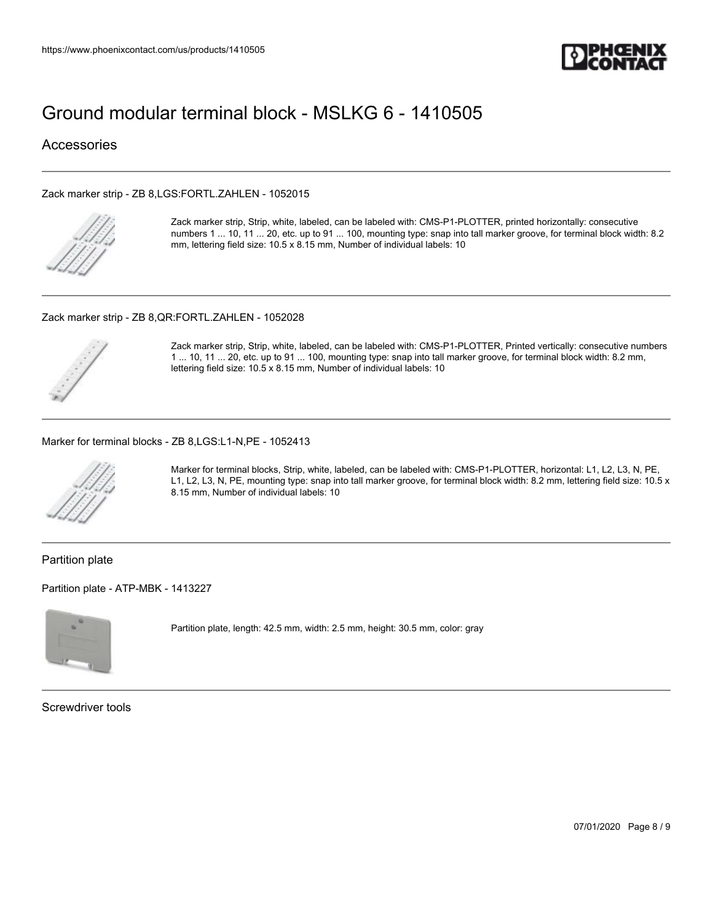

### **Accessories**

#### [Zack marker strip - ZB 8,LGS:FORTL.ZAHLEN - 1052015](https://www.phoenixcontact.com/us/products/1052015)



Zack marker strip, Strip, white, labeled, can be labeled with: CMS-P1-PLOTTER, printed horizontally: consecutive numbers 1 ... 10, 11 ... 20, etc. up to 91 ... 100, mounting type: snap into tall marker groove, for terminal block width: 8.2 mm, lettering field size: 10.5 x 8.15 mm, Number of individual labels: 10

#### [Zack marker strip - ZB 8,QR:FORTL.ZAHLEN - 1052028](https://www.phoenixcontact.com/us/products/1052028)



Zack marker strip, Strip, white, labeled, can be labeled with: CMS-P1-PLOTTER, Printed vertically: consecutive numbers 1 ... 10, 11 ... 20, etc. up to 91 ... 100, mounting type: snap into tall marker groove, for terminal block width: 8.2 mm, lettering field size: 10.5 x 8.15 mm, Number of individual labels: 10

#### [Marker for terminal blocks - ZB 8,LGS:L1-N,PE - 1052413](https://www.phoenixcontact.com/us/products/1052413)



Marker for terminal blocks, Strip, white, labeled, can be labeled with: CMS-P1-PLOTTER, horizontal: L1, L2, L3, N, PE, L1, L2, L3, N, PE, mounting type: snap into tall marker groove, for terminal block width: 8.2 mm, lettering field size: 10.5 x 8.15 mm, Number of individual labels: 10

Partition plate

[Partition plate - ATP-MBK - 1413227](https://www.phoenixcontact.com/us/products/1413227)



Partition plate, length: 42.5 mm, width: 2.5 mm, height: 30.5 mm, color: gray

Screwdriver tools